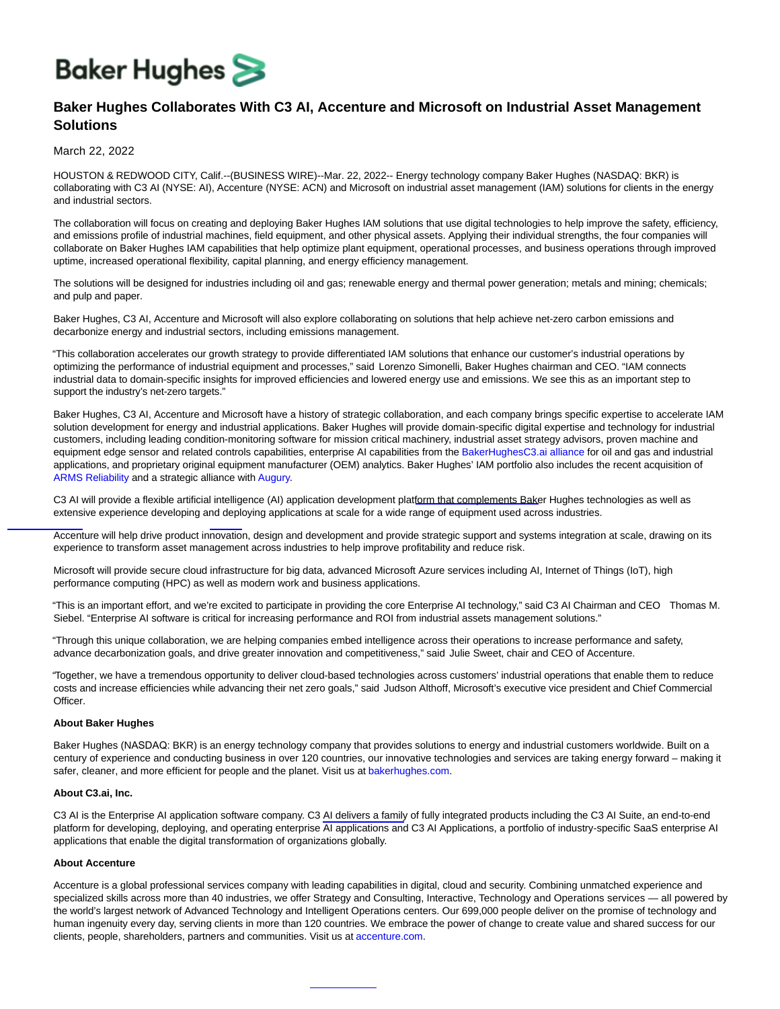# **Baker Hughes**

# **Baker Hughes Collaborates With C3 AI, Accenture and Microsoft on Industrial Asset Management Solutions**

## March 22, 2022

HOUSTON & REDWOOD CITY, Calif.--(BUSINESS WIRE)--Mar. 22, 2022-- Energy technology company Baker Hughes (NASDAQ: BKR) is collaborating with C3 AI (NYSE: AI), Accenture (NYSE: ACN) and Microsoft on industrial asset management (IAM) solutions for clients in the energy and industrial sectors.

The collaboration will focus on creating and deploying Baker Hughes IAM solutions that use digital technologies to help improve the safety, efficiency, and emissions profile of industrial machines, field equipment, and other physical assets. Applying their individual strengths, the four companies will collaborate on Baker Hughes IAM capabilities that help optimize plant equipment, operational processes, and business operations through improved uptime, increased operational flexibility, capital planning, and energy efficiency management.

The solutions will be designed for industries including oil and gas; renewable energy and thermal power generation; metals and mining; chemicals; and pulp and paper.

Baker Hughes, C3 AI, Accenture and Microsoft will also explore collaborating on solutions that help achieve net-zero carbon emissions and decarbonize energy and industrial sectors, including emissions management.

"This collaboration accelerates our growth strategy to provide differentiated IAM solutions that enhance our customer's industrial operations by optimizing the performance of industrial equipment and processes," said Lorenzo Simonelli, Baker Hughes chairman and CEO. "IAM connects industrial data to domain-specific insights for improved efficiencies and lowered energy use and emissions. We see this as an important step to support the industry's net-zero targets."

Baker Hughes, C3 AI, Accenture and Microsoft have a history of strategic collaboration, and each company brings specific expertise to accelerate IAM solution development for energy and industrial applications. Baker Hughes will provide domain-specific digital expertise and technology for industrial customers, including leading condition-monitoring software for mission critical machinery, industrial asset strategy advisors, proven machine and equipment edge sensor and related controls capabilities, enterprise AI capabilities from the [BakerHughesC3.ai alliance](https://cts.businesswire.com/ct/CT?id=smartlink&url=https%3A%2F%2Fbakerhughesc3.ai%2F&esheet=52609837&newsitemid=20220322005415&lan=en-US&anchor=BakerHughesC3.ai+alliance&index=1&md5=d927d3647fa65d23d0bcc923a1497418) for oil and gas and industrial applications, and proprietary original equipment manufacturer (OEM) analytics. Baker Hughes' IAM portfolio also includes the recent acquisition of [ARMS Reliability](https://cts.businesswire.com/ct/CT?id=smartlink&url=https%3A%2F%2Finvestors.bakerhughes.com%2Fnews-releases%2Fnews-release-details%2Fbaker-hughes-signs-agreement-acquire-arms-reliability-strengthen&esheet=52609837&newsitemid=20220322005415&lan=en-US&anchor=ARMS+Reliability&index=2&md5=20f49bbb4b67d9acae26ce495025aa48) and a strategic alliance with [Augury.](https://cts.businesswire.com/ct/CT?id=smartlink&url=https%3A%2F%2Finvestors.bakerhughes.com%2Fnews-releases%2Fnews-release-details%2Fbaker-hughes-and-augury-announce-alliance-add-machine-health&esheet=52609837&newsitemid=20220322005415&lan=en-US&anchor=Augury&index=3&md5=356ce5e6e70f0366c3e19875ba2917fb)

C3 AI will provide a flexible artificial intelligence (AI) application development platform that complements Baker Hughes technologies as well as extensive experience developing and deploying applications at scale for a wide range of equipment used across industries.

Accenture will help drive product innovation, design and development and provide strategic support and systems integration at scale, drawing on its experience to transform asset management across industries to help improve profitability and reduce risk.

Microsoft will provide secure cloud infrastructure for big data, advanced Microsoft Azure services including AI, Internet of Things (IoT), high performance computing (HPC) as well as modern work and business applications.

"This is an important effort, and we're excited to participate in providing the core Enterprise AI technology," said C3 AI Chairman and CEO Thomas M. Siebel. "Enterprise AI software is critical for increasing performance and ROI from industrial assets management solutions."

"Through this unique collaboration, we are helping companies embed intelligence across their operations to increase performance and safety, advance decarbonization goals, and drive greater innovation and competitiveness," said Julie Sweet, chair and CEO of Accenture.

"Together, we have a tremendous opportunity to deliver cloud-based technologies across customers' industrial operations that enable them to reduce costs and increase efficiencies while advancing their net zero goals," said Judson Althoff, Microsoft's executive vice president and Chief Commercial Officer.

### **About Baker Hughes**

Baker Hughes (NASDAQ: BKR) is an energy technology company that provides solutions to energy and industrial customers worldwide. Built on a century of experience and conducting business in over 120 countries, our innovative technologies and services are taking energy forward – making it safer, cleaner, and more efficient for people and the planet. Visit us at [bakerhughes.com.](https://cts.businesswire.com/ct/CT?id=smartlink&url=https%3A%2F%2Fwww.bakerhughes.com%2F&esheet=52609837&newsitemid=20220322005415&lan=en-US&anchor=bakerhughes.com&index=4&md5=fbac7091220ee177a56e03b0f6f57fde)

#### **About C3.ai, Inc.**

C3 AI is the Enterprise AI application software company. C3 AI delivers a family of fully integrated products including the C3 AI Suite, an end-to-end platform for developing, deploying, and operating enterprise AI applications and C3 AI Applications, a portfolio of industry-specific SaaS enterprise AI applications that enable the digital transformation of organizations globally.

#### **About Accenture**

Accenture is a global professional services company with leading capabilities in digital, cloud and security. Combining unmatched experience and specialized skills across more than 40 industries, we offer Strategy and Consulting, Interactive, Technology and Operations services — all powered by the world's largest network of Advanced Technology and Intelligent Operations centers. Our 699,000 people deliver on the promise of technology and human ingenuity every day, serving clients in more than 120 countries. We embrace the power of change to create value and shared success for our clients, people, shareholders, partners and communities. Visit us at [accenture.com.](https://cts.businesswire.com/ct/CT?id=smartlink&url=https%3A%2F%2Fwww.accenture.com%2Fus-en&esheet=52609837&newsitemid=20220322005415&lan=en-US&anchor=accenture.com&index=5&md5=8a3ec6dde591601247282b985ed96ad7)